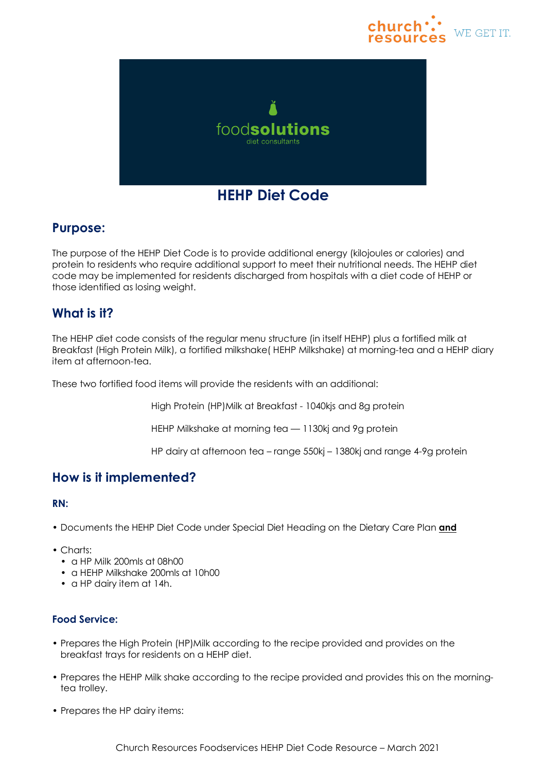



# **Purpose:**

The purpose of the HEHP Diet Code is to provide additional energy (kilojoules or calories) and protein to residents who require additional support to meet their nutritional needs. The HEHP diet code may be implemented for residents discharged from hospitals with a diet code of HEHP or those identified as losing weight.

# **What is it?**

The HEHP diet code consists of the regular menu structure (in itself HEHP) plus a fortified milk at Breakfast (High Protein Milk), a fortified milkshake( HEHP Milkshake) at morning-tea and a HEHP diary item at afternoon-tea.

These two fortified food items will provide the residents with an additional:

High Protein (HP)Milk at Breakfast - 1040kjs and 8g protein

HEHP Milkshake at morning tea — 1130kj and 9g protein

HP dairy at afternoon tea – range 550kj – 1380kj and range 4-9g protein

## **How is it implemented?**

#### **RN:**

- Documents the HEHP Diet Code under Special Diet Heading on the Dietary Care Plan **and**
- Charts:
	- a HP Milk 200mls at 08h00
	- a HEHP Milkshake 200mls at 10h00
	- a HP dairy item at 14h.

## **Food Service:**

- Prepares the High Protein (HP)Milk according to the recipe provided and provides on the breakfast trays for residents on a HEHP diet.
- Prepares the HEHP Milk shake according to the recipe provided and provides this on the morningtea trolley.
- Prepares the HP dairy items: